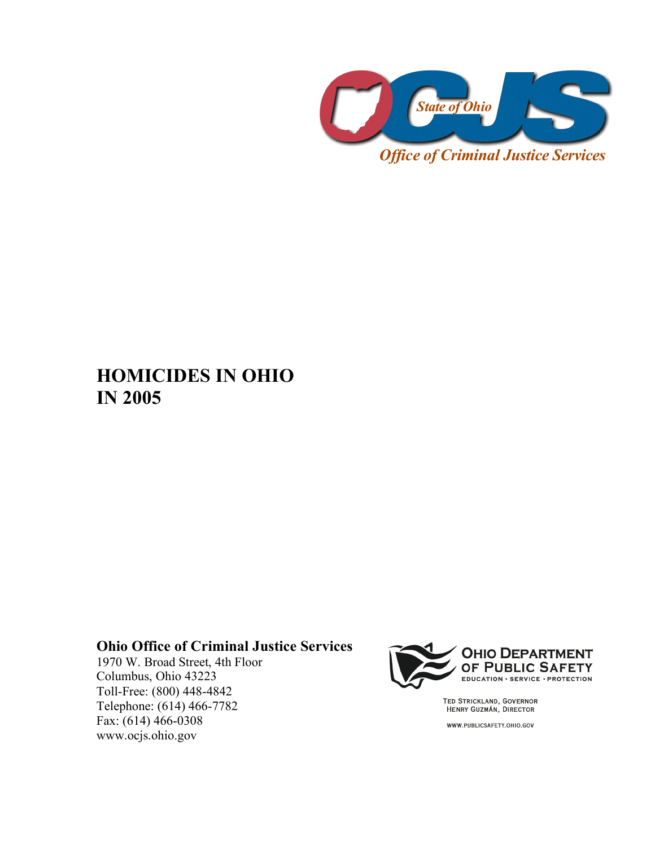

# **HOMICIDES IN OHIO IN 2005**

#### **Ohio Office of Criminal Justice Services**

1970 W. Broad Street, 4th Floor Columbus, Ohio 43223 Toll-Free: (800) 448-4842 Telephone: (614) 466-7782 Fax: (614) 466-0308 www.ocjs.ohio.gov



TED STRICKLAND, GOVERNOR<br>HENRY GUZMÁN, DIRECTOR

WWW.PUBLICSAFETY.OHIO.GOV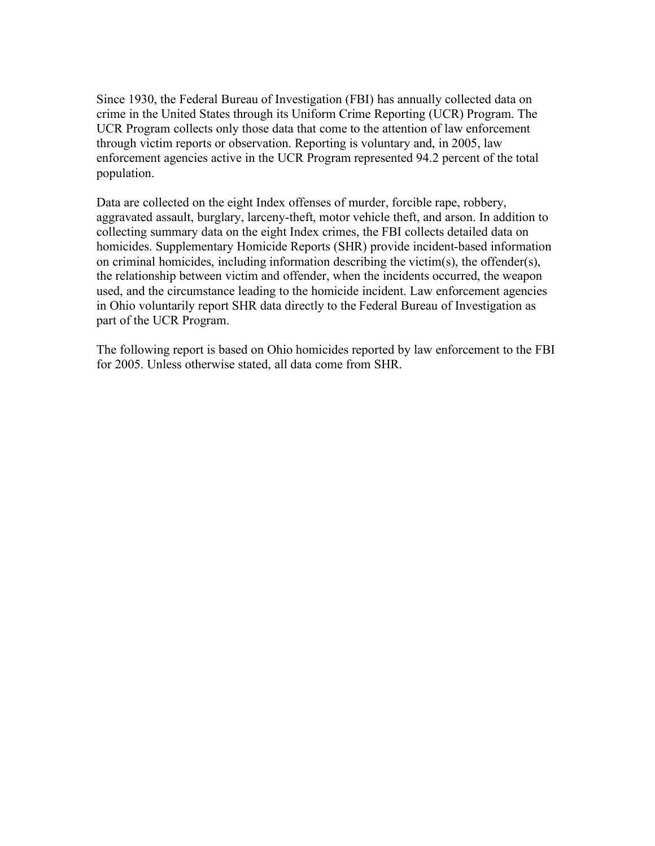Since 1930, the Federal Bureau of Investigation (FBI) has annually collected data on crime in the United States through its Uniform Crime Reporting (UCR) Program. The UCR Program collects only those data that come to the attention of law enforcement through victim reports or observation. Reporting is voluntary and, in 2005, law enforcement agencies active in the UCR Program represented 94.2 percent of the total population.

Data are collected on the eight Index offenses of murder, forcible rape, robbery, aggravated assault, burglary, larceny-theft, motor vehicle theft, and arson. In addition to collecting summary data on the eight Index crimes, the FBI collects detailed data on homicides. Supplementary Homicide Reports (SHR) provide incident-based information on criminal homicides, including information describing the victim(s), the offender(s), the relationship between victim and offender, when the incidents occurred, the weapon used, and the circumstance leading to the homicide incident. Law enforcement agencies in Ohio voluntarily report SHR data directly to the Federal Bureau of Investigation as part of the UCR Program.

The following report is based on Ohio homicides reported by law enforcement to the FBI for 2005. Unless otherwise stated, all data come from SHR.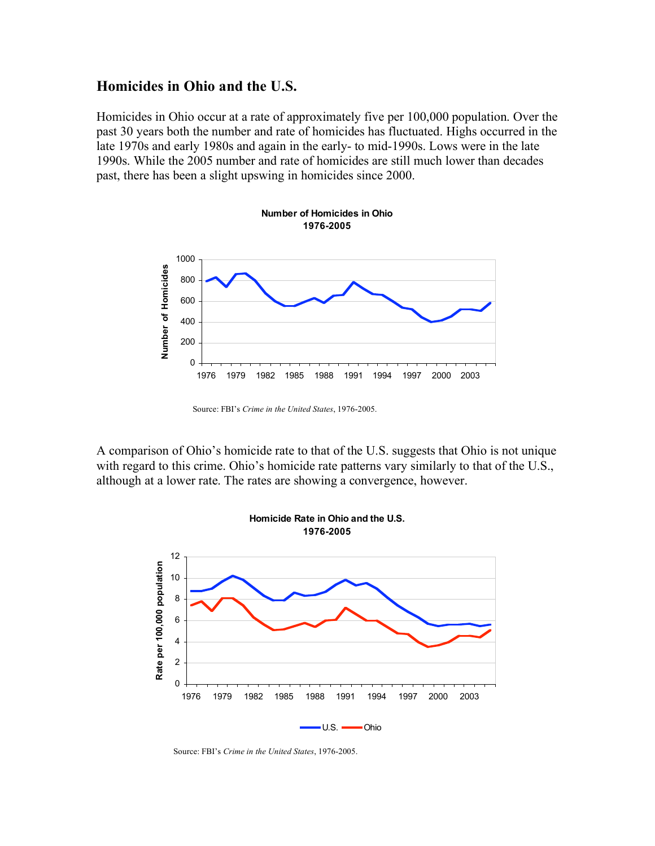#### **Homicides in Ohio and the U.S.**

Homicides in Ohio occur at a rate of approximately five per 100,000 population. Over the past 30 years both the number and rate of homicides has fluctuated. Highs occurred in the late 1970s and early 1980s and again in the early- to mid-1990s. Lows were in the late 1990s. While the 2005 number and rate of homicides are still much lower than decades past, there has been a slight upswing in homicides since 2000.



Source: FBI's *Crime in the United States*, 1976-2005.

A comparison of Ohio's homicide rate to that of the U.S. suggests that Ohio is not unique with regard to this crime. Ohio's homicide rate patterns vary similarly to that of the U.S., although at a lower rate. The rates are showing a convergence, however.



Source: FBI's *Crime in the United States*, 1976-2005.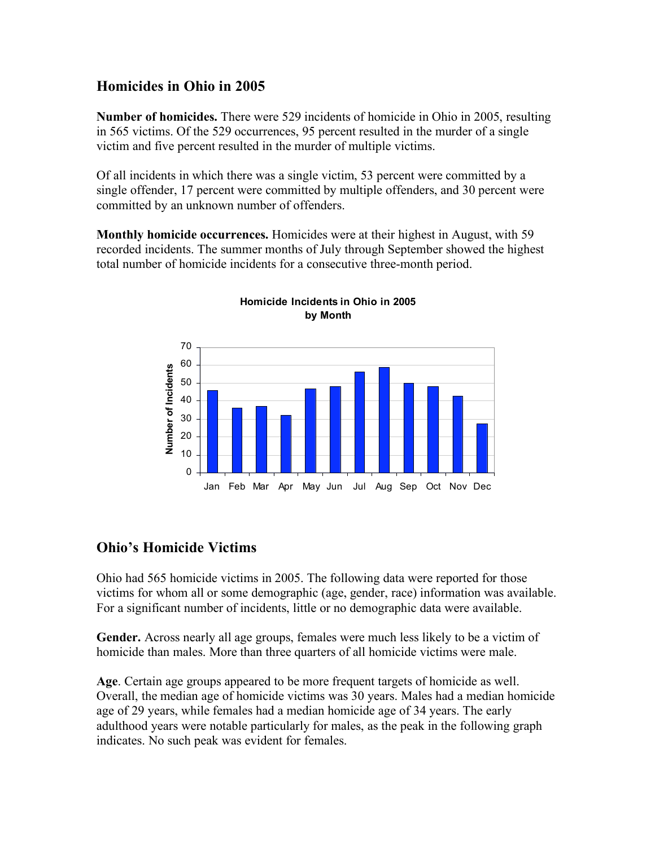### **Homicides in Ohio in 2005**

**Number of homicides.** There were 529 incidents of homicide in Ohio in 2005, resulting in 565 victims. Of the 529 occurrences, 95 percent resulted in the murder of a single victim and five percent resulted in the murder of multiple victims.

Of all incidents in which there was a single victim, 53 percent were committed by a single offender, 17 percent were committed by multiple offenders, and 30 percent were committed by an unknown number of offenders.

**Monthly homicide occurrences.** Homicides were at their highest in August, with 59 recorded incidents. The summer months of July through September showed the highest total number of homicide incidents for a consecutive three-month period.



**Homicide Incidents in Ohio in 2005 by Month**

### **Ohio's Homicide Victims**

Ohio had 565 homicide victims in 2005. The following data were reported for those victims for whom all or some demographic (age, gender, race) information was available. For a significant number of incidents, little or no demographic data were available.

**Gender.** Across nearly all age groups, females were much less likely to be a victim of homicide than males. More than three quarters of all homicide victims were male.

**Age**. Certain age groups appeared to be more frequent targets of homicide as well. Overall, the median age of homicide victims was 30 years. Males had a median homicide age of 29 years, while females had a median homicide age of 34 years. The early adulthood years were notable particularly for males, as the peak in the following graph indicates. No such peak was evident for females.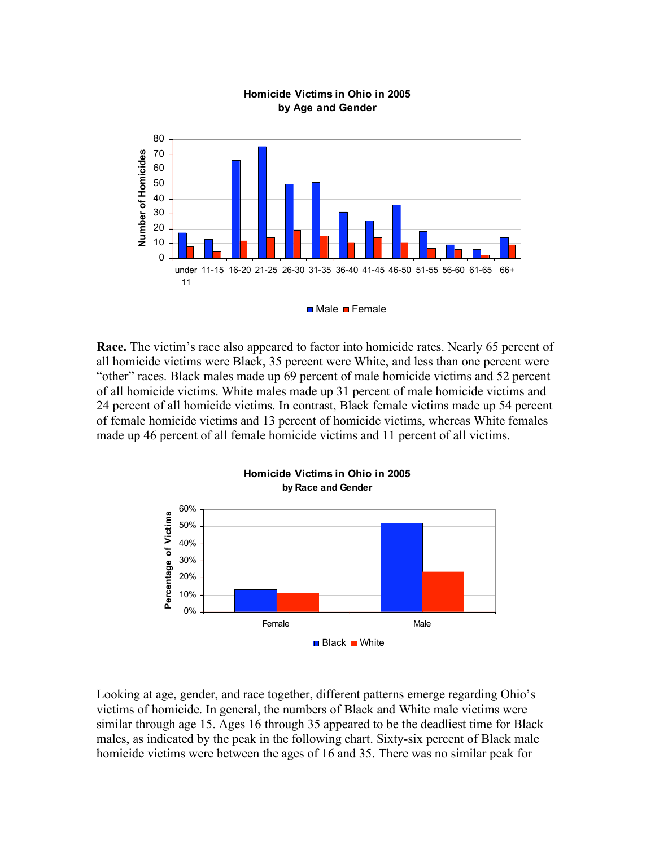

#### **Homicide Victims in Ohio in 2005 by Age and Gender**

**Race.** The victim's race also appeared to factor into homicide rates. Nearly 65 percent of all homicide victims were Black, 35 percent were White, and less than one percent were "other" races. Black males made up 69 percent of male homicide victims and 52 percent of all homicide victims. White males made up 31 percent of male homicide victims and 24 percent of all homicide victims. In contrast, Black female victims made up 54 percent of female homicide victims and 13 percent of homicide victims, whereas White females made up 46 percent of all female homicide victims and 11 percent of all victims.



Looking at age, gender, and race together, different patterns emerge regarding Ohio's victims of homicide. In general, the numbers of Black and White male victims were similar through age 15. Ages 16 through 35 appeared to be the deadliest time for Black males, as indicated by the peak in the following chart. Sixty-six percent of Black male homicide victims were between the ages of 16 and 35. There was no similar peak for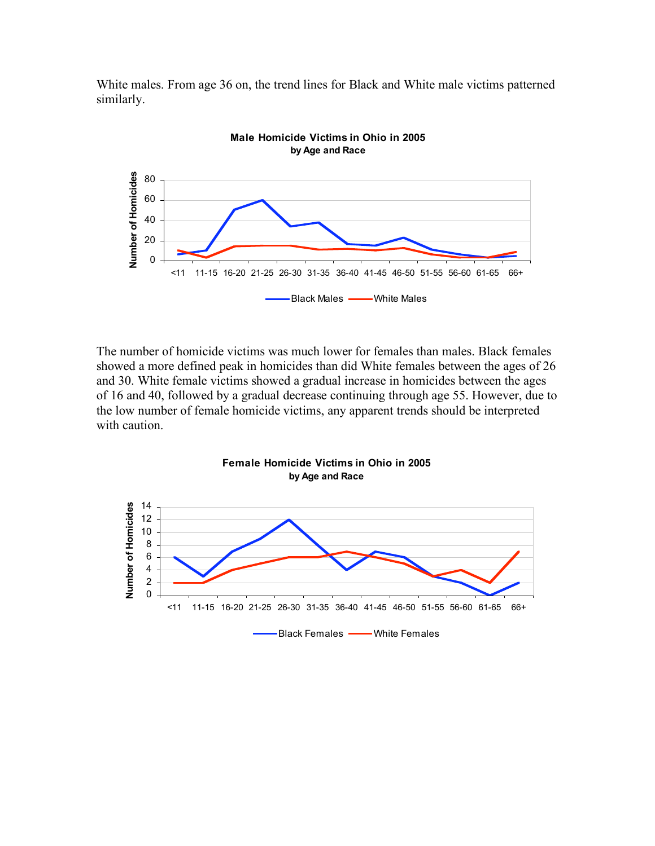White males. From age 36 on, the trend lines for Black and White male victims patterned similarly.



The number of homicide victims was much lower for females than males. Black females showed a more defined peak in homicides than did White females between the ages of 26 and 30. White female victims showed a gradual increase in homicides between the ages of 16 and 40, followed by a gradual decrease continuing through age 55. However, due to the low number of female homicide victims, any apparent trends should be interpreted with caution.

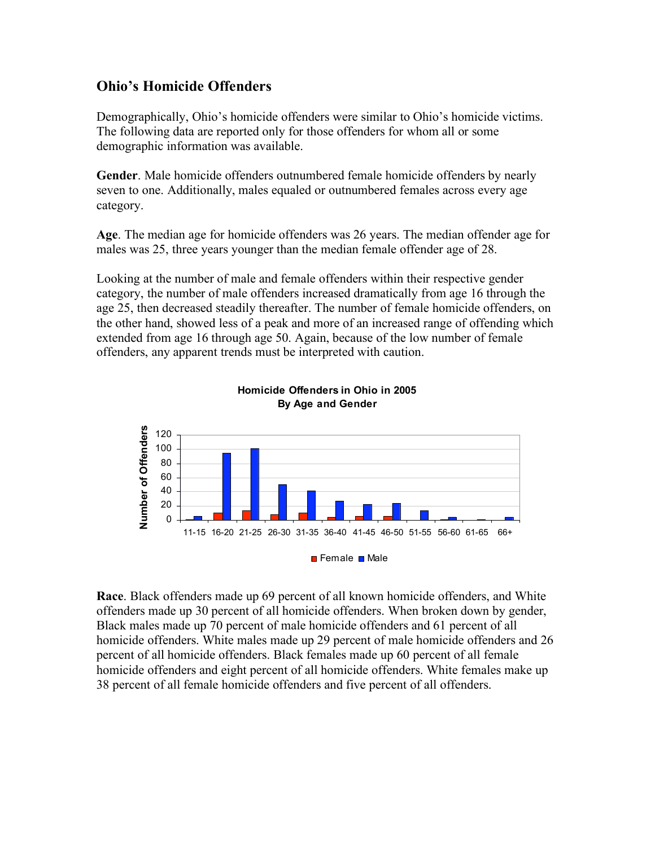### **Ohio's Homicide Offenders**

Demographically, Ohio's homicide offenders were similar to Ohio's homicide victims. The following data are reported only for those offenders for whom all or some demographic information was available.

**Gender**. Male homicide offenders outnumbered female homicide offenders by nearly seven to one. Additionally, males equaled or outnumbered females across every age category.

**Age**. The median age for homicide offenders was 26 years. The median offender age for males was 25, three years younger than the median female offender age of 28.

Looking at the number of male and female offenders within their respective gender category, the number of male offenders increased dramatically from age 16 through the age 25, then decreased steadily thereafter. The number of female homicide offenders, on the other hand, showed less of a peak and more of an increased range of offending which extended from age 16 through age 50. Again, because of the low number of female offenders, any apparent trends must be interpreted with caution.





**Race**. Black offenders made up 69 percent of all known homicide offenders, and White offenders made up 30 percent of all homicide offenders. When broken down by gender, Black males made up 70 percent of male homicide offenders and 61 percent of all homicide offenders. White males made up 29 percent of male homicide offenders and 26 percent of all homicide offenders. Black females made up 60 percent of all female homicide offenders and eight percent of all homicide offenders. White females make up 38 percent of all female homicide offenders and five percent of all offenders.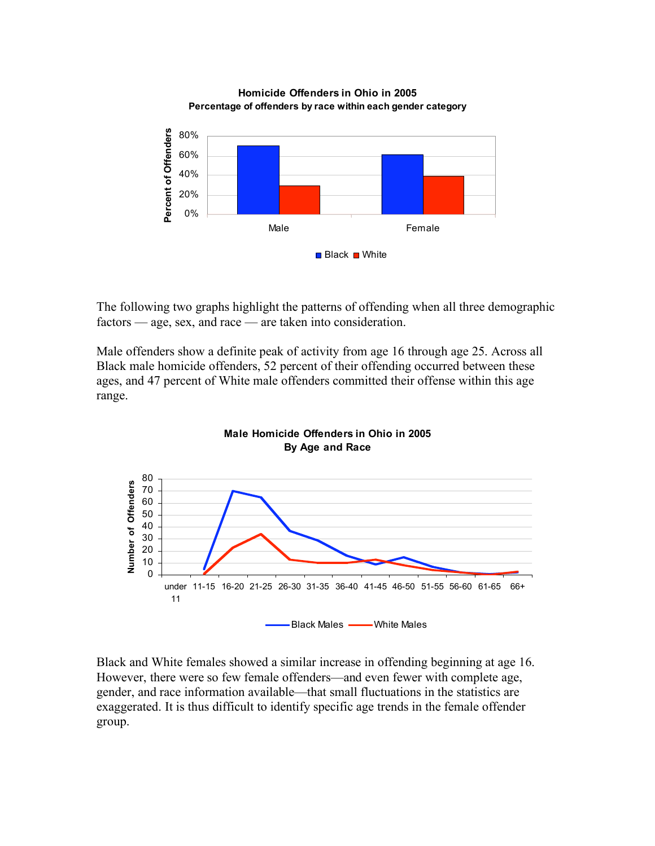

The following two graphs highlight the patterns of offending when all three demographic factors — age, sex, and race — are taken into consideration.

Male offenders show a definite peak of activity from age 16 through age 25. Across all Black male homicide offenders, 52 percent of their offending occurred between these ages, and 47 percent of White male offenders committed their offense within this age range.



Black and White females showed a similar increase in offending beginning at age 16. However, there were so few female offenders—and even fewer with complete age, gender, and race information available—that small fluctuations in the statistics are exaggerated. It is thus difficult to identify specific age trends in the female offender group.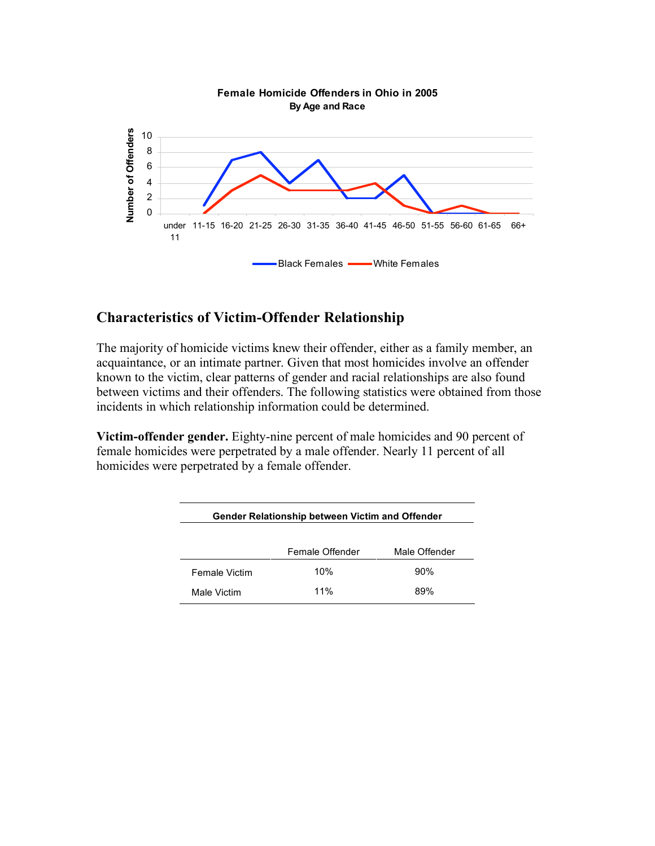

# **Characteristics of Victim-Offender Relationship**

The majority of homicide victims knew their offender, either as a family member, an acquaintance, or an intimate partner. Given that most homicides involve an offender known to the victim, clear patterns of gender and racial relationships are also found between victims and their offenders. The following statistics were obtained from those incidents in which relationship information could be determined.

**Victim-offender gender.** Eighty-nine percent of male homicides and 90 percent of female homicides were perpetrated by a male offender. Nearly 11 percent of all homicides were perpetrated by a female offender.

| Gender Relationship between Victim and Offender |                 |               |
|-------------------------------------------------|-----------------|---------------|
|                                                 | Female Offender | Male Offender |
| <b>Female Victim</b>                            | 10%             | 90%           |
| Male Victim                                     | 11%             | 89%           |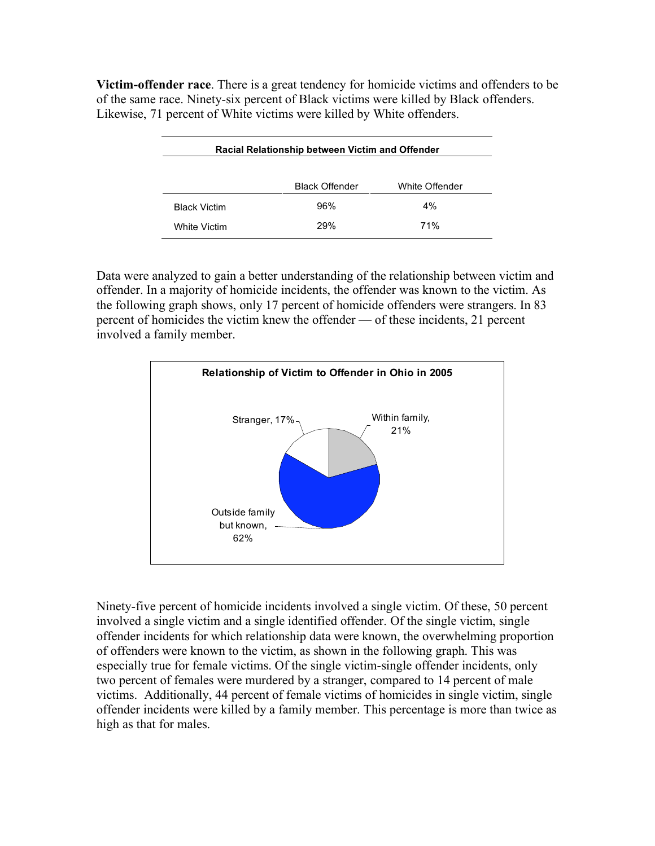**Victim-offender race**. There is a great tendency for homicide victims and offenders to be of the same race. Ninety-six percent of Black victims were killed by Black offenders. Likewise, 71 percent of White victims were killed by White offenders.

| <b>Racial Relationship between Victim and Offender</b> |                       |                |
|--------------------------------------------------------|-----------------------|----------------|
|                                                        | <b>Black Offender</b> | White Offender |
| <b>Black Victim</b>                                    | 96%                   | $4\%$          |
| White Victim                                           | 29%                   | 71%            |

Data were analyzed to gain a better understanding of the relationship between victim and offender. In a majority of homicide incidents, the offender was known to the victim. As the following graph shows, only 17 percent of homicide offenders were strangers. In 83 percent of homicides the victim knew the offender — of these incidents, 21 percent involved a family member.



Ninety-five percent of homicide incidents involved a single victim. Of these, 50 percent involved a single victim and a single identified offender. Of the single victim, single offender incidents for which relationship data were known, the overwhelming proportion of offenders were known to the victim, as shown in the following graph. This was especially true for female victims. Of the single victim-single offender incidents, only two percent of females were murdered by a stranger, compared to 14 percent of male victims. Additionally, 44 percent of female victims of homicides in single victim, single offender incidents were killed by a family member. This percentage is more than twice as high as that for males.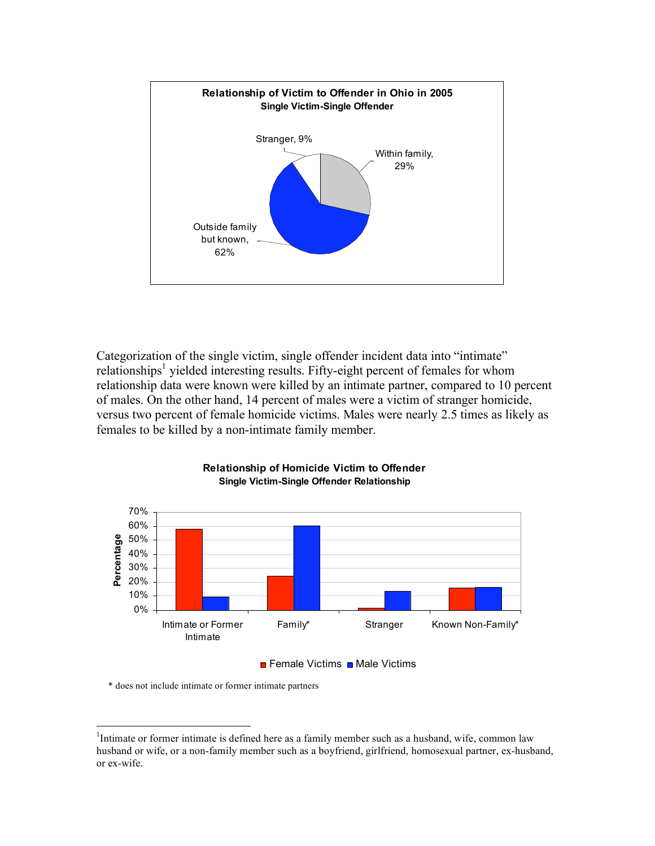

Categorization of the single victim, single offender incident data into "intimate" relationships<sup>1</sup> yielded interesting results. Fifty-eight percent of females for whom relationship data were known were killed by an intimate partner, compared to 10 percent of males. On the other hand, 14 percent of males were a victim of stranger homicide, versus two percent of female homicide victims. Males were nearly 2.5 times as likely as females to be killed by a non-intimate family member.



#### **Relationship of Homicide Victim to Offender Single Victim-Single Offender Relationship**

#### $\blacksquare$  Female Victims  $\blacksquare$  Male Victims

\* does not include intimate or former intimate partners

 $\frac{1}{1}$ <sup>1</sup>Intimate or former intimate is defined here as a family member such as a husband, wife, common law husband or wife, or a non-family member such as a boyfriend, girlfriend, homosexual partner, ex-husband, or ex-wife.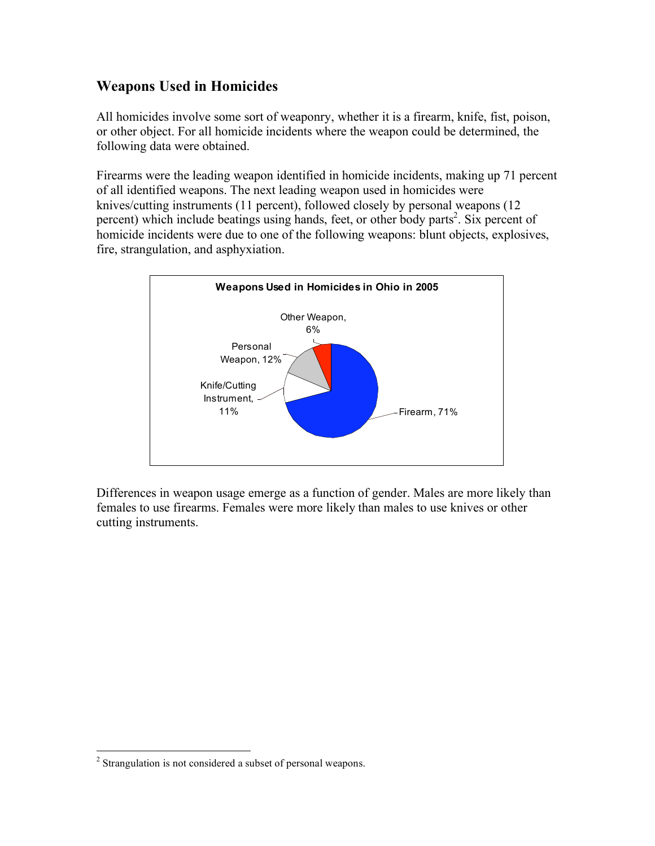## **Weapons Used in Homicides**

All homicides involve some sort of weaponry, whether it is a firearm, knife, fist, poison, or other object. For all homicide incidents where the weapon could be determined, the following data were obtained.

Firearms were the leading weapon identified in homicide incidents, making up 71 percent of all identified weapons. The next leading weapon used in homicides were knives/cutting instruments (11 percent), followed closely by personal weapons (12 percent) which include beatings using hands, feet, or other body parts 2 . Six percent of homicide incidents were due to one of the following weapons: blunt objects, explosives, fire, strangulation, and asphyxiation.



Differences in weapon usage emerge as a function of gender. Males are more likely than females to use firearms. Females were more likely than males to use knives or other cutting instruments.

<sup>&</sup>lt;sup>2</sup> Strangulation is not considered a subset of personal weapons.